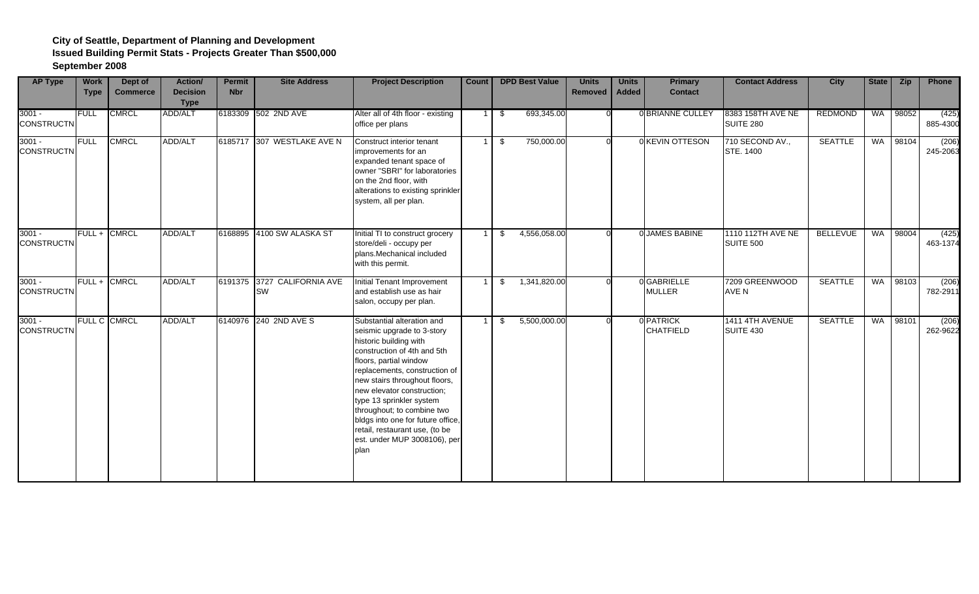| <b>AP Type</b>                | <b>Work</b><br><b>Type</b> | Dept of<br><b>Commerce</b> | Action/<br><b>Decision</b><br><b>Type</b> | <b>Permit</b><br><b>Nbr</b> | <b>Site Address</b>                      | <b>Project Description</b>                                                                                                                                                                                                                                                                                                                                                                                           | <b>Count</b> |      | <b>DPD Best Value</b> | <b>Units</b><br>Removed | <b>Units</b><br><b>Added</b> | <b>Primary</b><br><b>Contact</b> | <b>Contact Address</b>                | <b>City</b>     | State | Zip      | Phone             |
|-------------------------------|----------------------------|----------------------------|-------------------------------------------|-----------------------------|------------------------------------------|----------------------------------------------------------------------------------------------------------------------------------------------------------------------------------------------------------------------------------------------------------------------------------------------------------------------------------------------------------------------------------------------------------------------|--------------|------|-----------------------|-------------------------|------------------------------|----------------------------------|---------------------------------------|-----------------|-------|----------|-------------------|
| $3001 -$<br><b>CONSTRUCTN</b> | <b>FULL</b>                | <b>CMRCL</b>               | <b>ADD/ALT</b>                            |                             | 6183309 502 2ND AVE                      | Alter all of 4th floor - existing<br>office per plans                                                                                                                                                                                                                                                                                                                                                                |              | - \$ | 693,345.00            |                         |                              | <b>OBRIANNE CULLEY</b>           | 8383 158TH AVE NE<br><b>SUITE 280</b> | <b>REDMOND</b>  |       | WA 98052 | (425)<br>885-4300 |
| $3001 -$<br><b>CONSTRUCTN</b> | <b>FULL</b>                | <b>CMRCL</b>               | ADD/ALT                                   |                             | 6185717 307 WESTLAKE AVE N               | Construct interior tenant<br>improvements for an<br>expanded tenant space of<br>owner "SBRI" for laboratories<br>on the 2nd floor, with<br>alterations to existing sprinkler<br>system, all per plan.                                                                                                                                                                                                                |              | - \$ | 750,000.00            |                         |                              | 0 KEVIN OTTESON                  | 710 SECOND AV.,<br>STE. 1400          | <b>SEATTLE</b>  | WA    | 98104    | (206)<br>245-2063 |
| $3001 -$<br><b>CONSTRUCTN</b> | FULL+                      | <b>CMRCL</b>               | ADD/ALT                                   |                             | 6168895 4100 SW ALASKA ST                | Initial TI to construct grocery<br>store/deli - occupy per<br>plans.Mechanical included<br>with this permit.                                                                                                                                                                                                                                                                                                         |              | \$   | 4,556,058.00          |                         |                              | 0 JAMES BABINE                   | 1110 112TH AVE NE<br>SUITE 500        | <b>BELLEVUE</b> | WA    | 98004    | (425)<br>463-1374 |
| $3001 -$<br><b>CONSTRUCTN</b> | FULL+                      | <b>CMRCL</b>               | ADD/ALT                                   |                             | 6191375 3727 CALIFORNIA AVE<br><b>SW</b> | Initial Tenant Improvement<br>and establish use as hair<br>salon, occupy per plan.                                                                                                                                                                                                                                                                                                                                   |              | \$   | 1,341,820.00          |                         |                              | 0 GABRIELLE<br><b>MULLER</b>     | 7209 GREENWOOD<br>AVE N               | <b>SEATTLE</b>  | WA    | 98103    | (206)<br>782-2911 |
| $3001 -$<br><b>CONSTRUCTN</b> |                            | <b>FULL C CMRCL</b>        | <b>ADD/ALT</b>                            |                             | 6140976 240 2ND AVE S                    | Substantial alteration and<br>seismic upgrade to 3-story<br>historic building with<br>construction of 4th and 5th<br>floors, partial window<br>replacements, construction of<br>new stairs throughout floors,<br>new elevator construction;<br>type 13 sprinkler system<br>throughout; to combine two<br>bldgs into one for future office,<br>retail, restaurant use, (to be<br>est. under MUP 3008106), per<br>plan |              | \$   | 5,500,000.00          |                         |                              | 0 PATRICK<br><b>CHATFIELD</b>    | 1411 4TH AVENUE<br><b>SUITE 430</b>   | <b>SEATTLE</b>  | WA    | 98101    | (206)<br>262-9622 |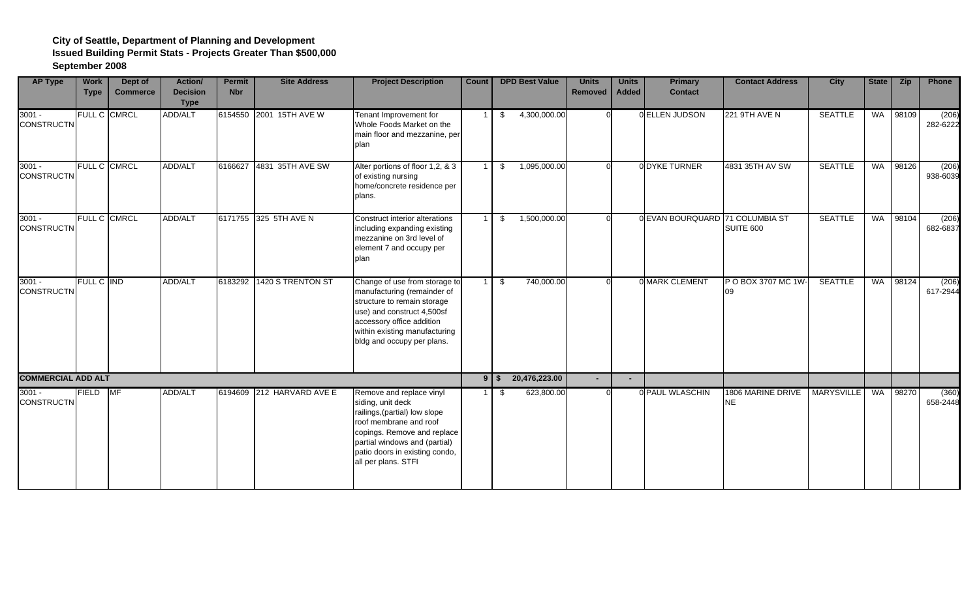| <b>AP Type</b>                | <b>Work</b><br><b>Type</b> | Dept of<br><b>Commerce</b> | Action/<br><b>Decision</b><br><b>Type</b> | <b>Permit</b><br><b>Nbr</b> | <b>Site Address</b>       | <b>Project Description</b>                                                                                                                                                                                                        | <b>Count</b> |          | <b>DPD Best Value</b> | <b>Units</b><br>Removed | <b>Units</b><br><b>Added</b> | <b>Primary</b><br><b>Contact</b> | <b>Contact Address</b>         | City              | State | Zip   | Phone             |
|-------------------------------|----------------------------|----------------------------|-------------------------------------------|-----------------------------|---------------------------|-----------------------------------------------------------------------------------------------------------------------------------------------------------------------------------------------------------------------------------|--------------|----------|-----------------------|-------------------------|------------------------------|----------------------------------|--------------------------------|-------------------|-------|-------|-------------------|
| $3001 -$<br><b>CONSTRUCTN</b> | <b>FULL C</b>              | <b>CMRCL</b>               | ADD/ALT                                   |                             | 6154550 2001 15TH AVE W   | Tenant Improvement for<br>Whole Foods Market on the<br>main floor and mezzanine, per<br>plan                                                                                                                                      |              | \$       | 4,300,000.00          |                         |                              | 0 ELLEN JUDSON                   | 221 9TH AVE N                  | <b>SEATTLE</b>    | WA    | 98109 | (206)<br>282-6222 |
| $3001 -$<br><b>CONSTRUCTN</b> |                            | FULL C CMRCL               | ADD/ALT                                   | 6166627                     | 4831 35TH AVE SW          | Alter portions of floor 1,2, & 3<br>of existing nursing<br>home/concrete residence per<br>plans.                                                                                                                                  |              | \$       | 1,095,000.00          |                         |                              | 0 DYKE TURNER                    | 4831 35TH AV SW                | <b>SEATTLE</b>    | WA    | 98126 | (206)<br>938-6039 |
| $3001 -$<br><b>CONSTRUCTN</b> |                            | FULL C CMRCL               | ADD/ALT                                   |                             | 6171755 325 5TH AVE N     | Construct interior alterations<br>including expanding existing<br>mezzanine on 3rd level of<br>element 7 and occupy per<br>plan                                                                                                   |              | \$       | 1,500,000.00          |                         |                              | 0 EVAN BOURQUARD 71 COLUMBIA ST  | <b>SUITE 600</b>               | <b>SEATTLE</b>    | WA    | 98104 | (206)<br>682-6837 |
| $3001 -$<br><b>CONSTRUCTN</b> | <b>FULL C IND</b>          |                            | <b>ADD/ALT</b>                            |                             | 6183292 1420 S TRENTON ST | Change of use from storage to<br>manufacturing (remainder of<br>structure to remain storage<br>use) and construct 4,500sf<br>accessory office addition<br>within existing manufacturing<br>bldg and occupy per plans.             |              | \$       | 740,000.00            |                         |                              | 0 MARK CLEMENT                   | P O BOX 3707 MC 1W-<br>09      | <b>SEATTLE</b>    | WA    | 98124 | (206)<br>617-2944 |
| <b>COMMERCIAL ADD ALT</b>     |                            |                            |                                           |                             |                           |                                                                                                                                                                                                                                   |              | $9$   \$ | 20,476,223.00         | $\sim$                  |                              |                                  |                                |                   |       |       |                   |
| $3001 -$<br><b>CONSTRUCTN</b> | <b>FIELD</b>               | MF                         | <b>ADD/ALT</b>                            |                             | 6194609 212 HARVARD AVE E | Remove and replace vinyl<br>siding, unit deck<br>railings, (partial) low slope<br>roof membrane and roof<br>copings. Remove and replace<br>partial windows and (partial)<br>patio doors in existing condo,<br>all per plans. STFI |              | S        | 623,800.00            |                         |                              | 0 PAUL WLASCHIN                  | 1806 MARINE DRIVE<br><b>NE</b> | <b>MARYSVILLE</b> | WA    | 98270 | (360)<br>658-2448 |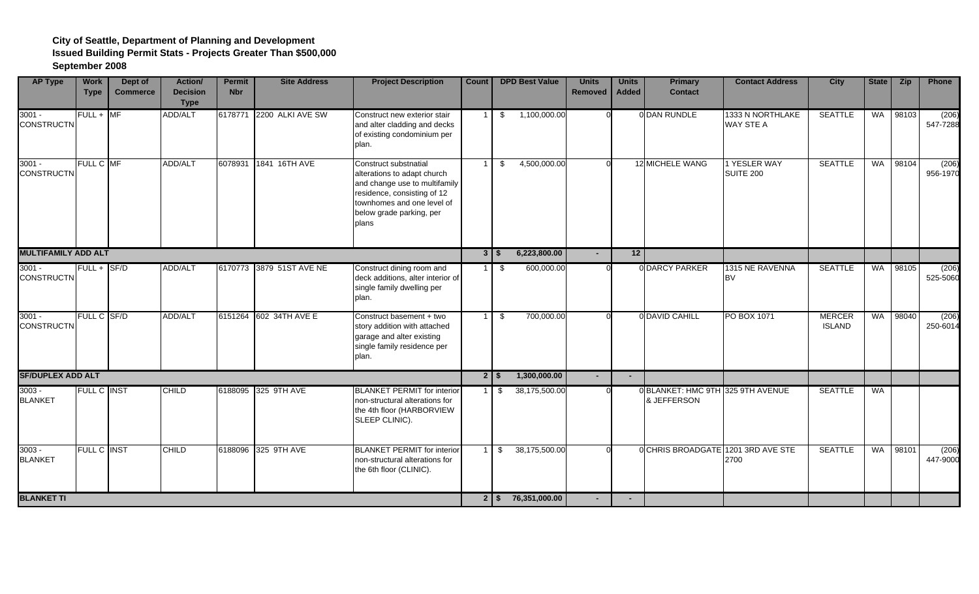| <b>AP Type</b>                | <b>Work</b><br><b>Type</b> | Dept of<br><b>Commerce</b> | Action/<br><b>Decision</b><br><b>Type</b> | <b>Permit</b><br><b>Nbr</b> | <b>Site Address</b>      | <b>Project Description</b>                                                                                                                                                              | <b>Count</b>   |             | <b>DPD Best Value</b>   | <b>Units</b><br>Removed  | <b>Units</b><br>Added | <b>Primary</b><br><b>Contact</b>                 | <b>Contact Address</b>           | <b>City</b>                    | State | <b>Zip</b> | Phone             |
|-------------------------------|----------------------------|----------------------------|-------------------------------------------|-----------------------------|--------------------------|-----------------------------------------------------------------------------------------------------------------------------------------------------------------------------------------|----------------|-------------|-------------------------|--------------------------|-----------------------|--------------------------------------------------|----------------------------------|--------------------------------|-------|------------|-------------------|
| $3001 -$<br><b>CONSTRUCTN</b> | $FULL + MF$                |                            | ADD/ALT                                   | 6178771                     | 2200 ALKI AVE SW         | Construct new exterior stair<br>and alter cladding and decks<br>of existing condominium per<br>plan.                                                                                    |                | \$          | 1,100,000.00            | $\Omega$                 |                       | 0 DAN RUNDLE                                     | 1333 N NORTHLAKE<br>WAY STE A    | <b>SEATTLE</b>                 |       | WA 98103   | (206)<br>547-7288 |
| $3001 -$<br><b>CONSTRUCTN</b> | FULL C MF                  |                            | ADD/ALT                                   | 6078931                     | 1841 16TH AVE            | Construct substnatial<br>alterations to adapt church<br>and change use to multifamily<br>residence, consisting of 12<br>townhomes and one level of<br>below grade parking, per<br>plans |                | \$          | 4,500,000.00            |                          |                       | 12 MICHELE WANG                                  | 1 YESLER WAY<br><b>SUITE 200</b> | <b>SEATTLE</b>                 | WA    | 98104      | (206)<br>956-1970 |
| <b>MULTIFAMILY ADD ALT</b>    |                            |                            |                                           |                             |                          |                                                                                                                                                                                         |                | $3 \mid$ \$ | 6,223,800.00            |                          | 12                    |                                                  |                                  |                                |       |            |                   |
| $3001 -$<br><b>CONSTRUCTN</b> | $FULL +  S F/D$            |                            | <b>ADD/ALT</b>                            |                             | 6170773 3879 51ST AVE NE | Construct dining room and<br>deck additions, alter interior of<br>single family dwelling per<br>plan.                                                                                   |                | - \$        | 600,000.00              |                          |                       | <b>ODARCY PARKER</b>                             | 1315 NE RAVENNA<br><b>BV</b>     | <b>SEATTLE</b>                 | WA    | 98105      | (206)<br>525-5060 |
| $3001 -$<br><b>CONSTRUCTN</b> | <b>FULL C SF/D</b>         |                            | <b>ADD/ALT</b>                            |                             | 6151264 602 34TH AVE E   | Construct basement + two<br>story addition with attached<br>garage and alter existing<br>single family residence per<br>plan.                                                           | $\overline{1}$ | \$          | 700,000.00              |                          |                       | 0 DAVID CAHILL                                   | PO BOX 1071                      | <b>MERCER</b><br><b>ISLAND</b> | WA    | 98040      | (206)<br>250-6014 |
| <b>SF/DUPLEX ADD ALT</b>      |                            |                            |                                           |                             |                          |                                                                                                                                                                                         |                | 25          | 1,300,000.00            | $\overline{\phantom{a}}$ | $\overline{a}$        |                                                  |                                  |                                |       |            |                   |
| $3003 -$<br><b>BLANKET</b>    | <b>FULL C INST</b>         |                            | <b>CHILD</b>                              |                             | 6188095 325 9TH AVE      | <b>BLANKET PERMIT for interior</b><br>non-structural alterations for<br>the 4th floor (HARBORVIEW<br>SLEEP CLINIC).                                                                     |                | 1   \$      | 38,175,500.00           |                          |                       | 0 BLANKET: HMC 9TH 325 9TH AVENUE<br>& JEFFERSON |                                  | <b>SEATTLE</b>                 | WA    |            |                   |
| $3003 -$<br><b>BLANKET</b>    | FULL C INST                |                            | <b>CHILD</b>                              |                             | 6188096 325 9TH AVE      | <b>BLANKET PERMIT for interior</b><br>non-structural alterations for<br>the 6th floor (CLINIC).                                                                                         |                | \$          | 38,175,500.00           |                          |                       | 0 CHRIS BROADGATE 1201 3RD AVE STE               | 2700                             | <b>SEATTLE</b>                 | WA    | 98101      | (206)<br>447-9000 |
| <b>BLANKET TI</b>             |                            |                            |                                           |                             |                          |                                                                                                                                                                                         |                |             | $2 \mid $76,351,000.00$ |                          | $\sim$                |                                                  |                                  |                                |       |            |                   |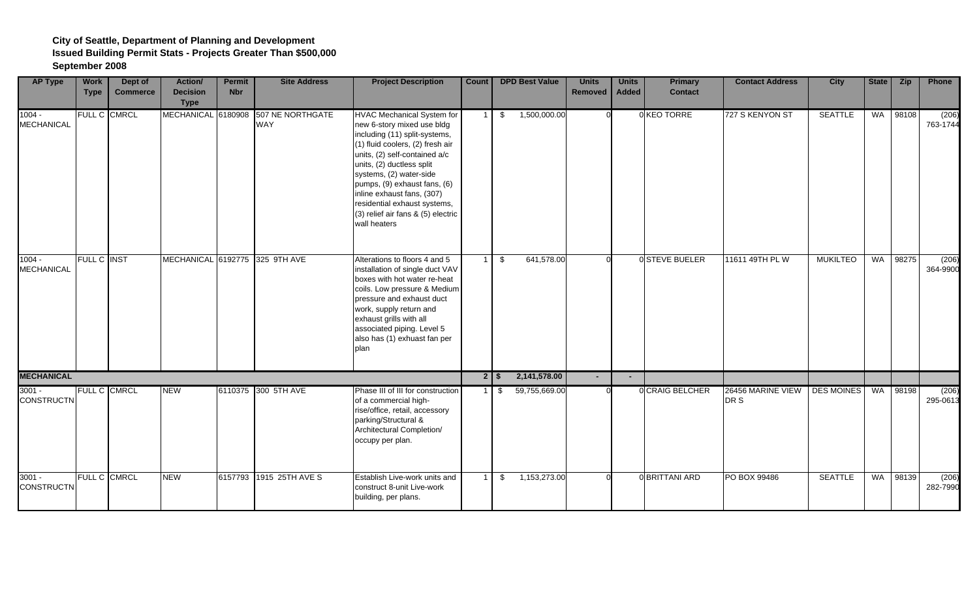| <b>AP Type</b>                | <b>Work</b><br><b>Type</b> | Dept of<br><b>Commerce</b> | <b>Action</b> /<br><b>Decision</b><br><b>Type</b> | <b>Permit</b><br><b>Nbr</b> | <b>Site Address</b>                               | <b>Project Description</b>                                                                                                                                                                                                                                                                                                                                                        | Count          | <b>DPD Best Value</b>    | <b>Units</b><br><b>Removed</b> | <b>Units</b><br><b>Added</b> | <b>Primary</b><br><b>Contact</b> | <b>Contact Address</b>    | <b>City</b>       | State | <b>Zip</b> | Phone             |
|-------------------------------|----------------------------|----------------------------|---------------------------------------------------|-----------------------------|---------------------------------------------------|-----------------------------------------------------------------------------------------------------------------------------------------------------------------------------------------------------------------------------------------------------------------------------------------------------------------------------------------------------------------------------------|----------------|--------------------------|--------------------------------|------------------------------|----------------------------------|---------------------------|-------------------|-------|------------|-------------------|
| $1004 -$<br><b>MECHANICAL</b> |                            | FULL C CMRCL               |                                                   |                             | MECHANICAL 6180908 507 NE NORTHGATE<br><b>WAY</b> | <b>HVAC Mechanical System for</b><br>new 6-story mixed use bldg<br>including (11) split-systems,<br>(1) fluid coolers, (2) fresh air<br>units, (2) self-contained a/c<br>units, (2) ductless split<br>systems, (2) water-side<br>pumps, (9) exhaust fans, (6)<br>inline exhaust fans, (307)<br>residential exhaust systems,<br>(3) relief air fans & (5) electric<br>wall heaters |                | 1,500,000.00<br>\$       |                                |                              | 0 KEO TORRE                      | 727 S KENYON ST           | <b>SEATTLE</b>    | WA    | 98108      | (206)<br>763-1744 |
| $1004 -$<br>MECHANICAL        | <b>FULL C INST</b>         |                            |                                                   |                             | MECHANICAL 6192775 325 9TH AVE                    | Alterations to floors 4 and 5<br>installation of single duct VAV<br>boxes with hot water re-heat<br>coils. Low pressure & Medium<br>pressure and exhaust duct<br>work, supply return and<br>exhaust grills with all<br>associated piping. Level 5<br>also has (1) exhuast fan per<br>plan                                                                                         | 1 <sup>1</sup> | 641,578.00<br>\$         |                                |                              | 0 STEVE BUELER                   | 11611 49TH PL W           | <b>MUKILTEO</b>   | WA    | 98275      | (206)<br>364-9900 |
| <b>MECHANICAL</b>             |                            |                            |                                                   |                             |                                                   |                                                                                                                                                                                                                                                                                                                                                                                   |                | 2,141,578.00<br>$2$   \$ | $\sim$                         | $\overline{\phantom{a}}$     |                                  |                           |                   |       |            |                   |
| $3001 -$<br><b>CONSTRUCTN</b> |                            | FULL C CMRCL               | <b>NEW</b>                                        |                             | 6110375 300 5TH AVE                               | Phase III of III for construction<br>of a commercial high-<br>rise/office, retail, accessory<br>parking/Structural &<br>Architectural Completion/<br>occupy per plan.                                                                                                                                                                                                             |                | 59,755,669.00<br>1   \$  |                                |                              | <b>OCRAIG BELCHER</b>            | 26456 MARINE VIEW<br>DR S | <b>DES MOINES</b> |       | WA 98198   | (206)<br>295-0613 |
| $3001 -$<br><b>CONSTRUCTN</b> |                            | FULL C CMRCL               | <b>NEW</b>                                        |                             | 6157793 1915 25TH AVE S                           | Establish Live-work units and<br>construct 8-unit Live-work<br>building, per plans.                                                                                                                                                                                                                                                                                               |                | 1,153,273.00<br>\$       |                                |                              | <b>OBRITTANI ARD</b>             | PO BOX 99486              | <b>SEATTLE</b>    | WA    | 98139      | (206)<br>282-7990 |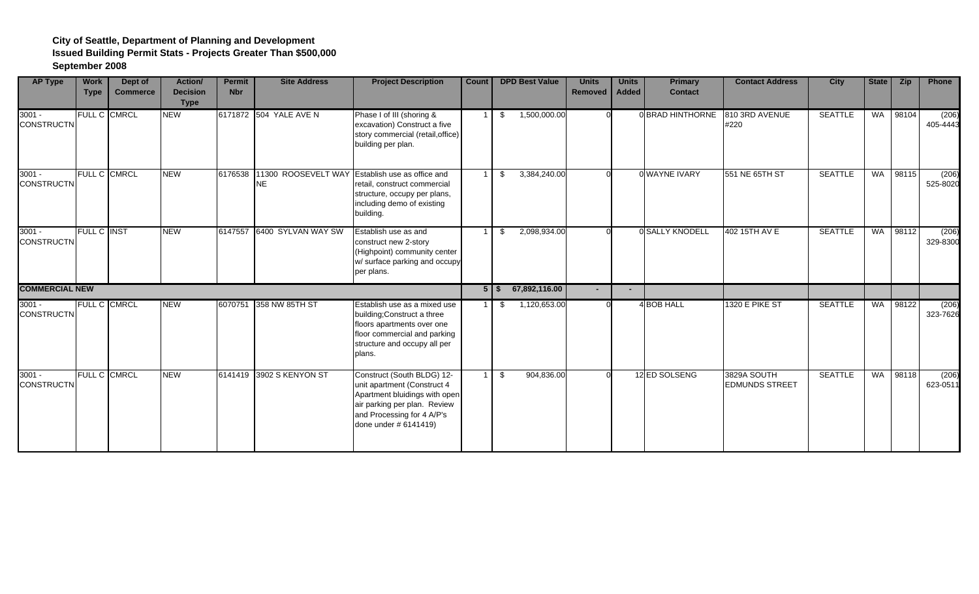| <b>AP Type</b>                | <b>Work</b><br><b>Type</b> | Dept of<br><b>Commerce</b> | Action/<br><b>Decision</b><br><b>Type</b> | <b>Permit</b><br><b>Nbr</b> | <b>Site Address</b>        | <b>Project Description</b>                                                                                                                                                        | Count |           | <b>DPD Best Value</b> | <b>Units</b><br>Removed | <b>Units</b><br><b>Added</b> | <b>Primary</b><br><b>Contact</b> | <b>Contact Address</b>               | City           | State     | <b>Zip</b> | Phone             |
|-------------------------------|----------------------------|----------------------------|-------------------------------------------|-----------------------------|----------------------------|-----------------------------------------------------------------------------------------------------------------------------------------------------------------------------------|-------|-----------|-----------------------|-------------------------|------------------------------|----------------------------------|--------------------------------------|----------------|-----------|------------|-------------------|
| $3001 -$<br><b>CONSTRUCTN</b> |                            | FULL C CMRCL               | <b>NEW</b>                                |                             | 6171872 504 YALE AVE N     | Phase I of III (shoring &<br>excavation) Construct a five<br>story commercial (retail, office)<br>building per plan.                                                              |       | \$        | 1,500,000.00          |                         |                              | 0 BRAD HINTHORNE                 | 810 3RD AVENUE<br>#220               | <b>SEATTLE</b> | <b>WA</b> | 98104      | (206)<br>405-4443 |
| $3001 -$<br><b>CONSTRUCTN</b> |                            | FULL C CMRCL               | <b>NEW</b>                                | 6176538                     | 11300 ROOSEVELT WAY<br>NE  | Establish use as office and<br>retail, construct commercial<br>structure, occupy per plans,<br>including demo of existing<br>building.                                            |       | \$        | 3,384,240.00          |                         |                              | 0 WAYNE IVARY                    | 551 NE 65TH ST                       | <b>SEATTLE</b> | WA        | 98115      | (206)<br>525-8020 |
| $3001 -$<br><b>CONSTRUCTN</b> | <b>FULL C INST</b>         |                            | <b>NEW</b>                                |                             | 6147557 6400 SYLVAN WAY SW | Establish use as and<br>construct new 2-story<br>(Highpoint) community center<br>w/ surface parking and occupy<br>per plans.                                                      |       | \$        | 2,098,934.00          |                         |                              | 0 SALLY KNODELL                  | 402 15TH AV E                        | <b>SEATTLE</b> | WA        | 98112      | (206)<br>329-8300 |
| <b>COMMERCIAL NEW</b>         |                            |                            |                                           |                             |                            |                                                                                                                                                                                   |       | $5$   $$$ | 67,892,116.00         |                         |                              |                                  |                                      |                |           |            |                   |
| $3001 -$<br><b>CONSTRUCTN</b> |                            | FULL C CMRCL               | <b>NEW</b>                                | 6070751                     | 358 NW 85TH ST             | Establish use as a mixed use<br>building; Construct a three<br>floors apartments over one<br>floor commercial and parking<br>structure and occupy all per<br>plans.               |       | S         | 1,120,653.00          |                         |                              | 4 BOB HALL                       | 1320 E PIKE ST                       | <b>SEATTLE</b> | <b>WA</b> | 98122      | (206)<br>323-7626 |
| $3001 -$<br><b>CONSTRUCTN</b> |                            | FULL C CMRCL               | <b>NEW</b>                                |                             | 6141419 3902 S KENYON ST   | Construct (South BLDG) 12-<br>unit apartment (Construct 4<br>Apartment bluidings with open<br>air parking per plan. Review<br>and Processing for 4 A/P's<br>done under # 6141419) |       | \$        | 904,836.00            |                         |                              | 12 ED SOLSENG                    | 3829A SOUTH<br><b>EDMUNDS STREET</b> | <b>SEATTLE</b> | WA        | 98118      | (206)<br>623-0511 |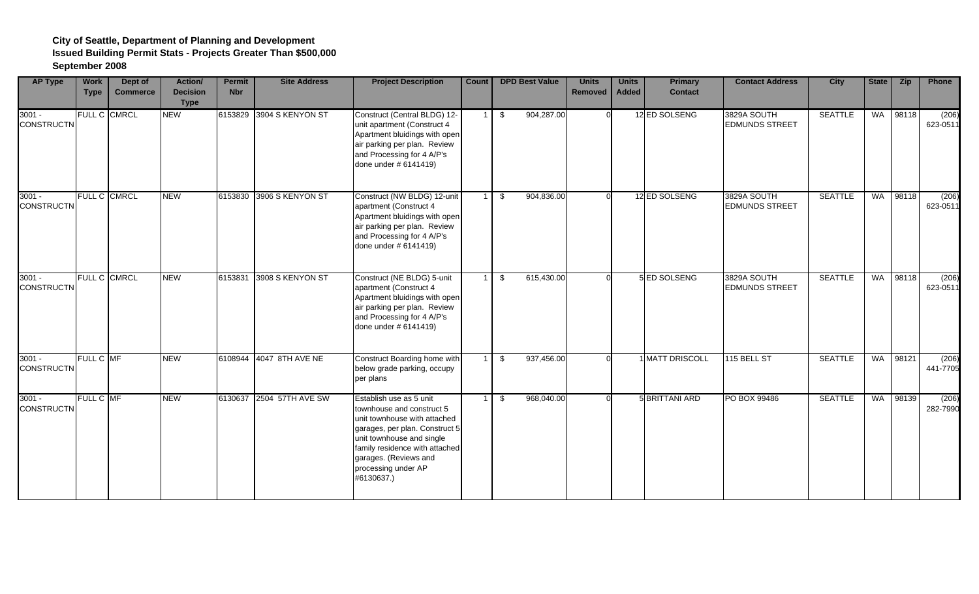| <b>AP Type</b>                | <b>Work</b><br><b>Type</b> | Dept of<br><b>Commerce</b> | Action/<br><b>Decision</b><br><b>Type</b> | <b>Permit</b><br><b>Nbr</b> | <b>Site Address</b>      | <b>Project Description</b>                                                                                                                                                                                                                          | Count          | <b>DPD Best Value</b> | <b>Units</b><br>Removed | <b>Units</b><br><b>Added</b> | <b>Primary</b><br><b>Contact</b> | <b>Contact Address</b>               | <b>City</b>    | State | <b>Zip</b> | Phone             |
|-------------------------------|----------------------------|----------------------------|-------------------------------------------|-----------------------------|--------------------------|-----------------------------------------------------------------------------------------------------------------------------------------------------------------------------------------------------------------------------------------------------|----------------|-----------------------|-------------------------|------------------------------|----------------------------------|--------------------------------------|----------------|-------|------------|-------------------|
| $3001 -$<br><b>CONSTRUCTN</b> |                            | FULL C CMRCL               | <b>NEW</b>                                |                             | 6153829 3904 S KENYON ST | Construct (Central BLDG) 12-<br>unit apartment (Construct 4<br>Apartment bluidings with open<br>air parking per plan. Review<br>and Processing for 4 A/P's<br>done under # 6141419)                                                                 |                | 904,287.00<br>\$      |                         |                              | 12 ED SOLSENG                    | 3829A SOUTH<br><b>EDMUNDS STREET</b> | <b>SEATTLE</b> | WA    | 98118      | (206)<br>623-0511 |
| $3001 -$<br><b>CONSTRUCTN</b> |                            | FULL C CMRCL               | <b>NEW</b>                                | 6153830                     | 3906 S KENYON ST         | Construct (NW BLDG) 12-unit<br>apartment (Construct 4<br>Apartment bluidings with open<br>air parking per plan. Review<br>and Processing for 4 A/P's<br>done under #6141419)                                                                        |                | 904,836.00<br>\$      |                         |                              | 12 ED SOLSENG                    | 3829A SOUTH<br><b>EDMUNDS STREET</b> | <b>SEATTLE</b> | WA    | 98118      | (206)<br>623-0511 |
| $3001 -$<br><b>CONSTRUCTN</b> |                            | FULL C CMRCL               | <b>NEW</b>                                | 6153831                     | 3908 S KENYON ST         | Construct (NE BLDG) 5-unit<br>apartment (Construct 4<br>Apartment bluidings with open<br>air parking per plan. Review<br>and Processing for 4 A/P's<br>done under # 6141419)                                                                        | $\overline{1}$ | 615,430.00<br>\$      |                         |                              | 5 ED SOLSENG                     | 3829A SOUTH<br><b>EDMUNDS STREET</b> | <b>SEATTLE</b> | WA    | 98118      | (206)<br>623-0511 |
| $3001 -$<br><b>CONSTRUCTN</b> | FULL C MF                  |                            | <b>NEW</b>                                |                             | 6108944 4047 8TH AVE NE  | Construct Boarding home with<br>below grade parking, occupy<br>per plans                                                                                                                                                                            |                | 937,456.00<br>- \$    |                         |                              | <b>MATT DRISCOLL</b>             | 115 BELL ST                          | <b>SEATTLE</b> | WA    | 98121      | (206)<br>441-7705 |
| $3001 -$<br><b>CONSTRUCTN</b> | FULL C MF                  |                            | <b>NEW</b>                                |                             | 6130637 2504 57TH AVE SW | Establish use as 5 unit<br>townhouse and construct 5<br>unit townhouse with attached<br>garages, per plan. Construct 5<br>unit townhouse and single<br>family residence with attached<br>garages. (Reviews and<br>processing under AP<br>#6130637.) |                | 968,040.00<br>\$      |                         |                              | 5 BRITTANI ARD                   | PO BOX 99486                         | <b>SEATTLE</b> | WA    | 98139      | (206)<br>282-7990 |